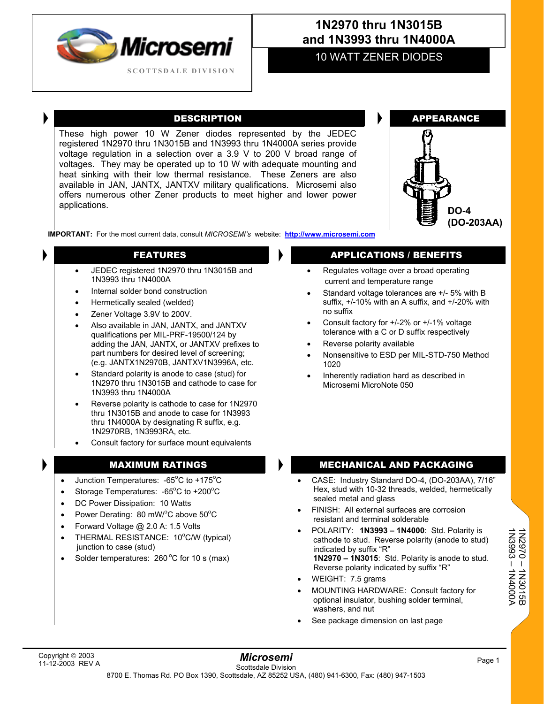

# **1N2970 thru 1N3015B and 1N3993 thru 1N4000A**

## 10 WATT ZENER DIODES

These high power 10 W Zener diodes represented by the JEDEC registered 1N2970 thru 1N3015B and 1N3993 thru 1N4000A series provide voltage regulation in a selection over a 3.9 V to 200 V broad range of voltages. They may be operated up to 10 W with adequate mounting and heat sinking with their low thermal resistance. These Zeners are also available in JAN, JANTX, JANTXV military qualifications. Microsemi also offers numerous other Zener products to meet higher and lower power applications. **DO-4 DO-4** 



**IMPORTANT:** For the most current data, consult *MICROSEMI's* website: **[http://www.microsemi.com](http://www.microsemi.com/)**

- JEDEC registered 1N2970 thru 1N3015B and 1N3993 thru 1N4000A
- Internal solder bond construction
- Hermetically sealed (welded)
- Zener Voltage 3.9V to 200V.
- Also available in JAN, JANTX, and JANTXV qualifications per MIL-PRF-19500/124 by adding the JAN, JANTX, or JANTXV prefixes to part numbers for desired level of screening; (e.g. JANTX1N2970B, JANTXV1N3996A, etc.
- Standard polarity is anode to case (stud) for 1N2970 thru 1N3015B and cathode to case for 1N3993 thru 1N4000A
- Reverse polarity is cathode to case for 1N2970 thru 1N3015B and anode to case for 1N3993 thru 1N4000A by designating R suffix, e.g. 1N2970RB, 1N3993RA, etc.

Consult factory for surface mount equivalents

- Junction Temperatures:  $-65^{\circ}$ C to  $+175^{\circ}$ C
- Storage Temperatures:  $-65^{\circ}$ C to  $+200^{\circ}$ C
- DC Power Dissipation: 10 Watts
- Power Derating: 80 mW/ $^{\circ}$ C above 50 $^{\circ}$ C
- Forward Voltage @ 2.0 A: 1.5 Volts
- THERMAL RESISTANCE: 10°C/W (typical) junction to case (stud)
- Solder temperatures:  $260^{\circ}$ C for 10 s (max)

### FEATURES **APPLICATIONS** / BENEFITS

- Regulates voltage over a broad operating current and temperature range
- Standard voltage tolerances are +/- 5% with B suffix, +/-10% with an A suffix, and +/-20% with no suffix
- Consult factory for +/-2% or +/-1% voltage tolerance with a C or D suffix respectively
- Reverse polarity available
- Nonsensitive to ESD per MIL-STD-750 Method 1020
- Inherently radiation hard as described in Microsemi MicroNote 050

### MAXIMUM RATINGS MECHANICAL AND PACKAGING

- CASE: Industry Standard DO-4, (DO-203AA), 7/16" Hex, stud with 10-32 threads, welded, hermetically sealed metal and glass
- FINISH: All external surfaces are corrosion resistant and terminal solderable
- POLARITY: **1N3993 1N4000**: Std. Polarity is cathode to stud. Reverse polarity (anode to stud) indicated by suffix "R" **1N2970 – 1N3015**: Std. Polarity is anode to stud. Reverse polarity indicated by suffix "R"
- WEIGHT: 7.5 grams
- MOUNTING HARDWARE: Consult factory for optional insulator, bushing solder terminal, washers, and nut
- See package dimension on last page